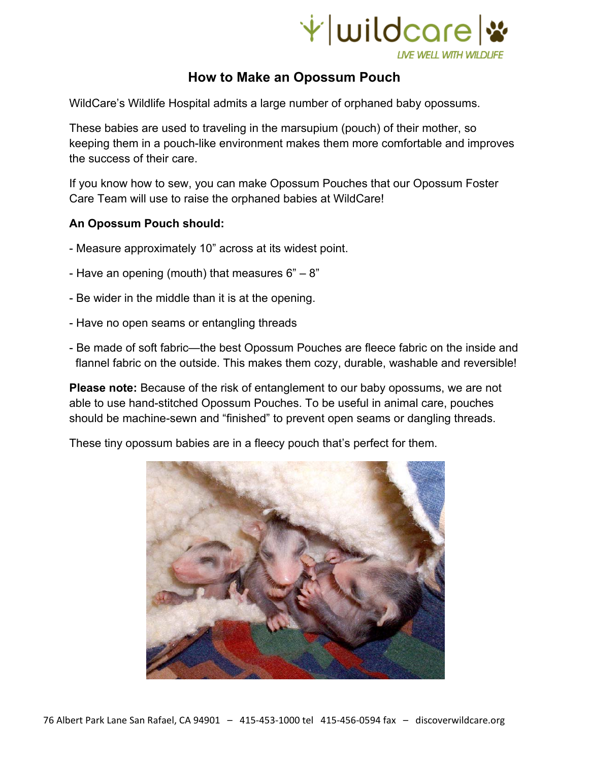

## **How to Make an Opossum Pouch**

WildCare's Wildlife Hospital admits a large number of orphaned baby opossums.

These babies are used to traveling in the marsupium (pouch) of their mother, so keeping them in a pouch-like environment makes them more comfortable and improves the success of their care.

If you know how to sew, you can make Opossum Pouches that our Opossum Foster Care Team will use to raise the orphaned babies at WildCare!

## **An Opossum Pouch should:**

- Measure approximately 10" across at its widest point.
- Have an opening (mouth) that measures  $6" 8"$
- Be wider in the middle than it is at the opening.
- Have no open seams or entangling threads
- Be made of soft fabric—the best Opossum Pouches are fleece fabric on the inside and flannel fabric on the outside. This makes them cozy, durable, washable and reversible!

**Please note:** Because of the risk of entanglement to our baby opossums, we are not able to use hand-stitched Opossum Pouches. To be useful in animal care, pouches should be machine-sewn and "finished" to prevent open seams or dangling threads.

These tiny opossum babies are in a fleecy pouch that's perfect for them.